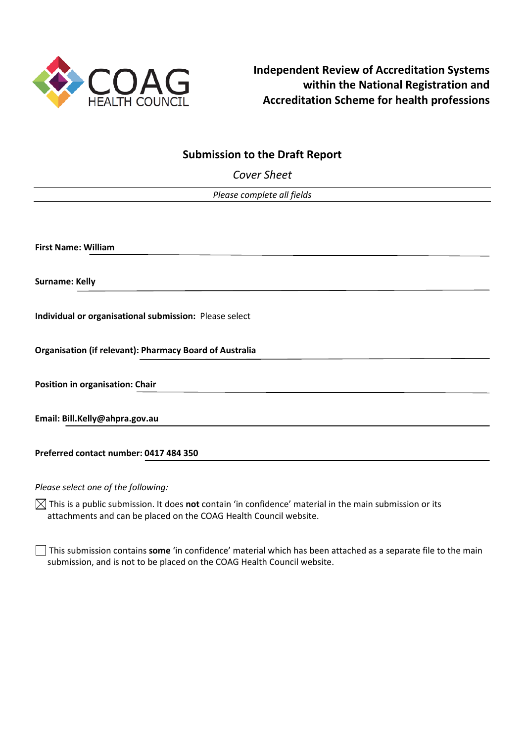

# **Submission to the Draft Report**

*Cover Sheet*

*Please complete all fields* 

**First Name: William** 

**Surname: Kelly**

**Individual or organisational submission:** Please select

**Organisation (if relevant): Pharmacy Board of Australia**

**Position in organisation: Chair**

**Email: Bill.Kelly@ahpra.gov.au**

**Preferred contact number: 0417 484 350**

*Please select one of the following:*

 $\boxtimes$  This is a public submission. It does **not** contain 'in confidence' material in the main submission or its attachments and can be placed on the COAG Health Council website.

This submission contains **some** 'in confidence' material which has been attached as a separate file to the main submission, and is not to be placed on the COAG Health Council website.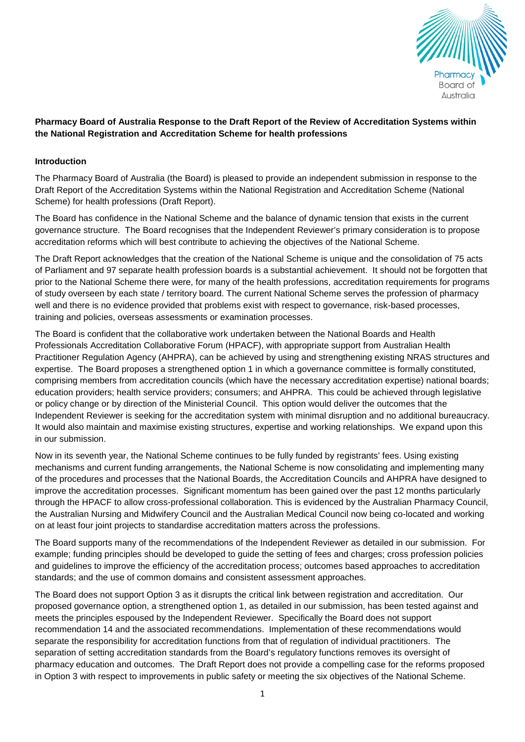

# **Pharmacy Board of Australia Response to the Draft Report of the Review of Accreditation Systems within the National Registration and Accreditation Scheme for health professions**

### **Introduction**

The Pharmacy Board of Australia (the Board) is pleased to provide an independent submission in response to the Draft Report of the Accreditation Systems within the National Registration and Accreditation Scheme (National Scheme) for health professions (Draft Report).

The Board has confidence in the National Scheme and the balance of dynamic tension that exists in the current governance structure. The Board recognises that the Independent Reviewer's primary consideration is to propose accreditation reforms which will best contribute to achieving the objectives of the National Scheme.

The Draft Report acknowledges that the creation of the National Scheme is unique and the consolidation of 75 acts of Parliament and 97 separate health profession boards is a substantial achievement. It should not be forgotten that prior to the National Scheme there were, for many of the health professions, accreditation requirements for programs of study overseen by each state / territory board. The current National Scheme serves the profession of pharmacy well and there is no evidence provided that problems exist with respect to governance, risk-based processes, training and policies, overseas assessments or examination processes.

The Board is confident that the collaborative work undertaken between the National Boards and Health Professionals Accreditation Collaborative Forum (HPACF), with appropriate support from Australian Health Practitioner Regulation Agency (AHPRA), can be achieved by using and strengthening existing NRAS structures and expertise. The Board proposes a strengthened option 1 in which a governance committee is formally constituted, comprising members from accreditation councils (which have the necessary accreditation expertise) national boards; education providers; health service providers; consumers; and AHPRA. This could be achieved through legislative or policy change or by direction of the Ministerial Council. This option would deliver the outcomes that the Independent Reviewer is seeking for the accreditation system with minimal disruption and no additional bureaucracy. It would also maintain and maximise existing structures, expertise and working relationships. We expand upon this in our submission.

Now in its seventh year, the National Scheme continues to be fully funded by registrants' fees. Using existing mechanisms and current funding arrangements, the National Scheme is now consolidating and implementing many of the procedures and processes that the National Boards, the Accreditation Councils and AHPRA have designed to improve the accreditation processes. Significant momentum has been gained over the past 12 months particularly through the HPACF to allow cross-professional collaboration. This is evidenced by the Australian Pharmacy Council, the Australian Nursing and Midwifery Council and the Australian Medical Council now being co-located and working on at least four joint projects to standardise accreditation matters across the professions.

The Board supports many of the recommendations of the Independent Reviewer as detailed in our submission. For example; funding principles should be developed to guide the setting of fees and charges; cross profession policies and guidelines to improve the efficiency of the accreditation process; outcomes based approaches to accreditation standards; and the use of common domains and consistent assessment approaches.

The Board does not support Option 3 as it disrupts the critical link between registration and accreditation. Our proposed governance option, a strengthened option 1, as detailed in our submission, has been tested against and meets the principles espoused by the Independent Reviewer. Specifically the Board does not support recommendation 14 and the associated recommendations. Implementation of these recommendations would separate the responsibility for accreditation functions from that of regulation of individual practitioners. The separation of setting accreditation standards from the Board's regulatory functions removes its oversight of pharmacy education and outcomes. The Draft Report does not provide a compelling case for the reforms proposed in Option 3 with respect to improvements in public safety or meeting the six objectives of the National Scheme.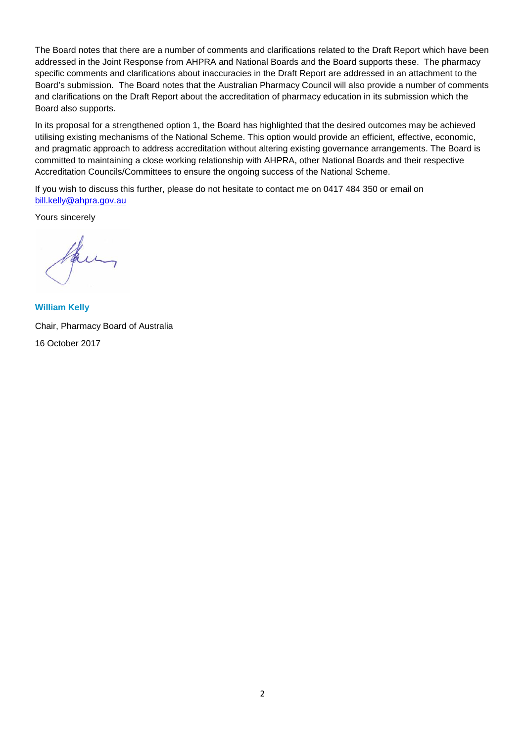The Board notes that there are a number of comments and clarifications related to the Draft Report which have been addressed in the Joint Response from AHPRA and National Boards and the Board supports these. The pharmacy specific comments and clarifications about inaccuracies in the Draft Report are addressed in an attachment to the Board's submission. The Board notes that the Australian Pharmacy Council will also provide a number of comments and clarifications on the Draft Report about the accreditation of pharmacy education in its submission which the Board also supports.

In its proposal for a strengthened option 1, the Board has highlighted that the desired outcomes may be achieved utilising existing mechanisms of the National Scheme. This option would provide an efficient, effective, economic, and pragmatic approach to address accreditation without altering existing governance arrangements. The Board is committed to maintaining a close working relationship with AHPRA, other National Boards and their respective Accreditation Councils/Committees to ensure the ongoing success of the National Scheme.

If you wish to discuss this further, please do not hesitate to contact me on 0417 484 350 or email on [bill.kelly@ahpra.gov.au](mailto:bill.kelly@ahpra.gov.au)

Yours sincerely

**William Kelly** Chair, Pharmacy Board of Australia 16 October 2017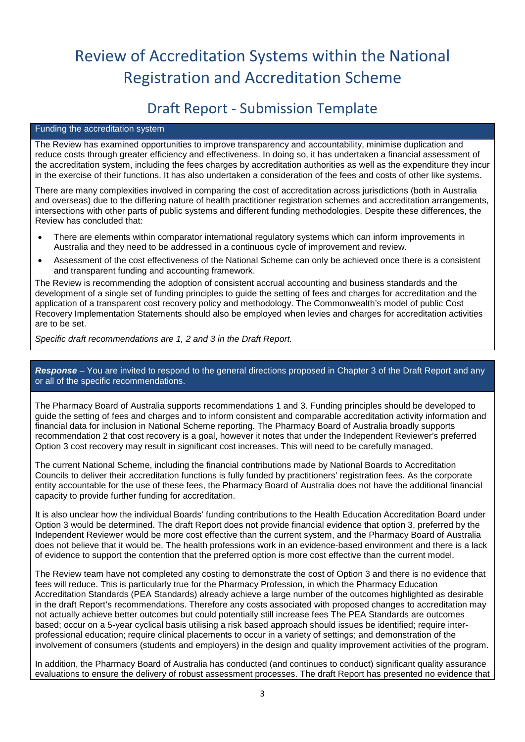# Review of Accreditation Systems within the National Registration and Accreditation Scheme

# Draft Report - Submission Template

#### Funding the accreditation system

The Review has examined opportunities to improve transparency and accountability, minimise duplication and reduce costs through greater efficiency and effectiveness. In doing so, it has undertaken a financial assessment of the accreditation system, including the fees charges by accreditation authorities as well as the expenditure they incur in the exercise of their functions. It has also undertaken a consideration of the fees and costs of other like systems.

There are many complexities involved in comparing the cost of accreditation across jurisdictions (both in Australia and overseas) due to the differing nature of health practitioner registration schemes and accreditation arrangements, intersections with other parts of public systems and different funding methodologies. Despite these differences, the Review has concluded that:

- There are elements within comparator international regulatory systems which can inform improvements in Australia and they need to be addressed in a continuous cycle of improvement and review.
- Assessment of the cost effectiveness of the National Scheme can only be achieved once there is a consistent and transparent funding and accounting framework.

The Review is recommending the adoption of consistent accrual accounting and business standards and the development of a single set of funding principles to guide the setting of fees and charges for accreditation and the application of a transparent cost recovery policy and methodology. The Commonwealth's model of public Cost Recovery Implementation Statements should also be employed when levies and charges for accreditation activities are to be set.

*Specific draft recommendations are 1, 2 and 3 in the Draft Report.*

# *Response –* You are invited to respond to the general directions proposed in Chapter 3 of the Draft Report and any or all of the specific recommendations.

The Pharmacy Board of Australia supports recommendations 1 and 3. Funding principles should be developed to guide the setting of fees and charges and to inform consistent and comparable accreditation activity information and financial data for inclusion in National Scheme reporting. The Pharmacy Board of Australia broadly supports recommendation 2 that cost recovery is a goal, however it notes that under the Independent Reviewer's preferred Option 3 cost recovery may result in significant cost increases. This will need to be carefully managed.

The current National Scheme, including the financial contributions made by National Boards to Accreditation Councils to deliver their accreditation functions is fully funded by practitioners' registration fees. As the corporate entity accountable for the use of these fees, the Pharmacy Board of Australia does not have the additional financial capacity to provide further funding for accreditation.

It is also unclear how the individual Boards' funding contributions to the Health Education Accreditation Board under Option 3 would be determined. The draft Report does not provide financial evidence that option 3, preferred by the Independent Reviewer would be more cost effective than the current system, and the Pharmacy Board of Australia does not believe that it would be. The health professions work in an evidence-based environment and there is a lack of evidence to support the contention that the preferred option is more cost effective than the current model.

The Review team have not completed any costing to demonstrate the cost of Option 3 and there is no evidence that fees will reduce. This is particularly true for the Pharmacy Profession, in which the Pharmacy Education Accreditation Standards (PEA Standards) already achieve a large number of the outcomes highlighted as desirable in the draft Report's recommendations. Therefore any costs associated with proposed changes to accreditation may not actually achieve better outcomes but could potentially still increase fees The PEA Standards are outcomes based; occur on a 5-year cyclical basis utilising a risk based approach should issues be identified; require interprofessional education; require clinical placements to occur in a variety of settings; and demonstration of the involvement of consumers (students and employers) in the design and quality improvement activities of the program.

In addition, the Pharmacy Board of Australia has conducted (and continues to conduct) significant quality assurance evaluations to ensure the delivery of robust assessment processes. The draft Report has presented no evidence that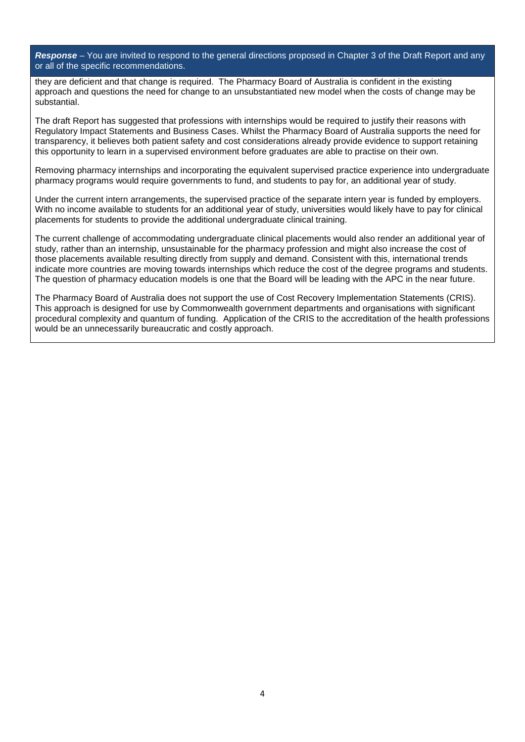*Response –* You are invited to respond to the general directions proposed in Chapter 3 of the Draft Report and any or all of the specific recommendations.

they are deficient and that change is required. The Pharmacy Board of Australia is confident in the existing approach and questions the need for change to an unsubstantiated new model when the costs of change may be substantial.

The draft Report has suggested that professions with internships would be required to justify their reasons with Regulatory Impact Statements and Business Cases. Whilst the Pharmacy Board of Australia supports the need for transparency, it believes both patient safety and cost considerations already provide evidence to support retaining this opportunity to learn in a supervised environment before graduates are able to practise on their own.

Removing pharmacy internships and incorporating the equivalent supervised practice experience into undergraduate pharmacy programs would require governments to fund, and students to pay for, an additional year of study.

Under the current intern arrangements, the supervised practice of the separate intern year is funded by employers. With no income available to students for an additional year of study, universities would likely have to pay for clinical placements for students to provide the additional undergraduate clinical training.

The current challenge of accommodating undergraduate clinical placements would also render an additional year of study, rather than an internship, unsustainable for the pharmacy profession and might also increase the cost of those placements available resulting directly from supply and demand. Consistent with this, international trends indicate more countries are moving towards internships which reduce the cost of the degree programs and students. The question of pharmacy education models is one that the Board will be leading with the APC in the near future.

The Pharmacy Board of Australia does not support the use of Cost Recovery Implementation Statements (CRIS). This approach is designed for use by Commonwealth government departments and organisations with significant procedural complexity and quantum of funding. Application of the CRIS to the accreditation of the health professions would be an unnecessarily bureaucratic and costly approach.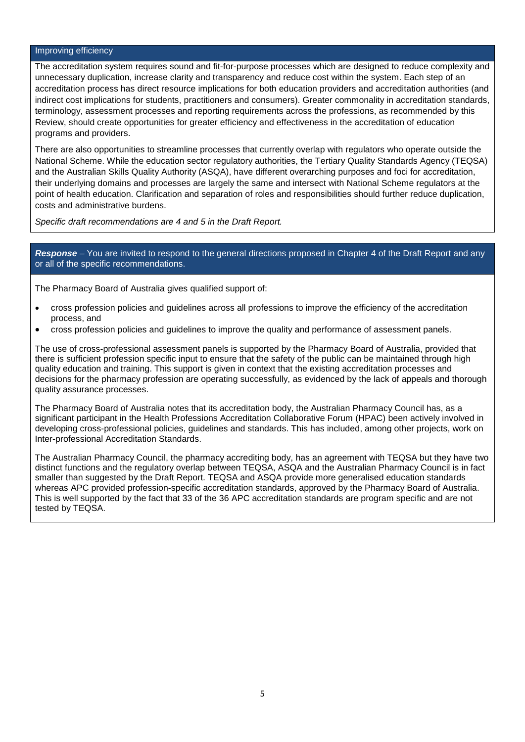#### Improving efficiency

The accreditation system requires sound and fit-for-purpose processes which are designed to reduce complexity and unnecessary duplication, increase clarity and transparency and reduce cost within the system. Each step of an accreditation process has direct resource implications for both education providers and accreditation authorities (and indirect cost implications for students, practitioners and consumers). Greater commonality in accreditation standards, terminology, assessment processes and reporting requirements across the professions, as recommended by this Review, should create opportunities for greater efficiency and effectiveness in the accreditation of education programs and providers.

There are also opportunities to streamline processes that currently overlap with regulators who operate outside the National Scheme. While the education sector regulatory authorities, the Tertiary Quality Standards Agency (TEQSA) and the Australian Skills Quality Authority (ASQA), have different overarching purposes and foci for accreditation, their underlying domains and processes are largely the same and intersect with National Scheme regulators at the point of health education. Clarification and separation of roles and responsibilities should further reduce duplication, costs and administrative burdens.

*Specific draft recommendations are 4 and 5 in the Draft Report.*

*Response –* You are invited to respond to the general directions proposed in Chapter 4 of the Draft Report and any or all of the specific recommendations.

The Pharmacy Board of Australia gives qualified support of:

- cross profession policies and guidelines across all professions to improve the efficiency of the accreditation process, and
- cross profession policies and guidelines to improve the quality and performance of assessment panels.

The use of cross-professional assessment panels is supported by the Pharmacy Board of Australia, provided that there is sufficient profession specific input to ensure that the safety of the public can be maintained through high quality education and training. This support is given in context that the existing accreditation processes and decisions for the pharmacy profession are operating successfully, as evidenced by the lack of appeals and thorough quality assurance processes.

The Pharmacy Board of Australia notes that its accreditation body, the Australian Pharmacy Council has, as a significant participant in the Health Professions Accreditation Collaborative Forum (HPAC) been actively involved in developing cross-professional policies, guidelines and standards. This has included, among other projects, work on Inter-professional Accreditation Standards.

The Australian Pharmacy Council, the pharmacy accrediting body, has an agreement with TEQSA but they have two distinct functions and the regulatory overlap between TEQSA, ASQA and the Australian Pharmacy Council is in fact smaller than suggested by the Draft Report. TEQSA and ASQA provide more generalised education standards whereas APC provided profession-specific accreditation standards, approved by the Pharmacy Board of Australia. This is well supported by the fact that 33 of the 36 APC accreditation standards are program specific and are not tested by TEQSA.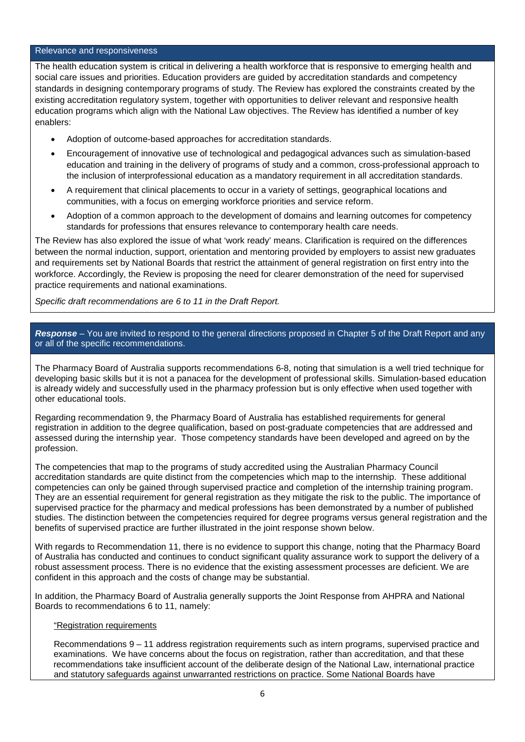#### Relevance and responsiveness

The health education system is critical in delivering a health workforce that is responsive to emerging health and social care issues and priorities. Education providers are guided by accreditation standards and competency standards in designing contemporary programs of study. The Review has explored the constraints created by the existing accreditation regulatory system, together with opportunities to deliver relevant and responsive health education programs which align with the National Law objectives. The Review has identified a number of key enablers:

- Adoption of outcome-based approaches for accreditation standards.
- Encouragement of innovative use of technological and pedagogical advances such as simulation-based education and training in the delivery of programs of study and a common, cross-professional approach to the inclusion of interprofessional education as a mandatory requirement in all accreditation standards.
- A requirement that clinical placements to occur in a variety of settings, geographical locations and communities, with a focus on emerging workforce priorities and service reform.
- Adoption of a common approach to the development of domains and learning outcomes for competency standards for professions that ensures relevance to contemporary health care needs.

The Review has also explored the issue of what 'work ready' means. Clarification is required on the differences between the normal induction, support, orientation and mentoring provided by employers to assist new graduates and requirements set by National Boards that restrict the attainment of general registration on first entry into the workforce. Accordingly, the Review is proposing the need for clearer demonstration of the need for supervised practice requirements and national examinations.

*Specific draft recommendations are 6 to 11 in the Draft Report.*

### *Response –* You are invited to respond to the general directions proposed in Chapter 5 of the Draft Report and any or all of the specific recommendations.

The Pharmacy Board of Australia supports recommendations 6-8, noting that simulation is a well tried technique for developing basic skills but it is not a panacea for the development of professional skills. Simulation-based education is already widely and successfully used in the pharmacy profession but is only effective when used together with other educational tools.

Regarding recommendation 9, the Pharmacy Board of Australia has established requirements for general registration in addition to the degree qualification, based on post-graduate competencies that are addressed and assessed during the internship year. Those competency standards have been developed and agreed on by the profession.

The competencies that map to the programs of study accredited using the Australian Pharmacy Council accreditation standards are quite distinct from the competencies which map to the internship. These additional competencies can only be gained through supervised practice and completion of the internship training program. They are an essential requirement for general registration as they mitigate the risk to the public. The importance of supervised practice for the pharmacy and medical professions has been demonstrated by a number of published studies. The distinction between the competencies required for degree programs versus general registration and the benefits of supervised practice are further illustrated in the joint response shown below.

With regards to Recommendation 11, there is no evidence to support this change, noting that the Pharmacy Board of Australia has conducted and continues to conduct significant quality assurance work to support the delivery of a robust assessment process. There is no evidence that the existing assessment processes are deficient. We are confident in this approach and the costs of change may be substantial.

In addition, the Pharmacy Board of Australia generally supports the Joint Response from AHPRA and National Boards to recommendations 6 to 11, namely:

#### "Registration requirements

Recommendations 9 – 11 address registration requirements such as intern programs, supervised practice and examinations. We have concerns about the focus on registration, rather than accreditation, and that these recommendations take insufficient account of the deliberate design of the National Law, international practice and statutory safeguards against unwarranted restrictions on practice. Some National Boards have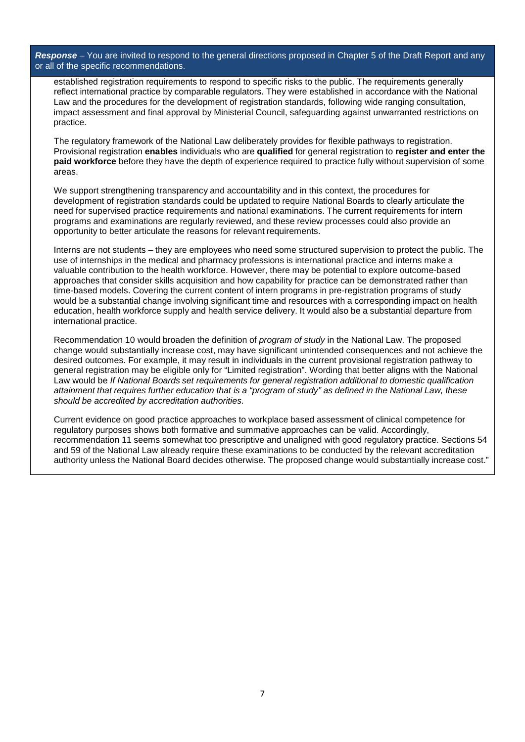*Response –* You are invited to respond to the general directions proposed in Chapter 5 of the Draft Report and any or all of the specific recommendations.

established registration requirements to respond to specific risks to the public. The requirements generally reflect international practice by comparable regulators. They were established in accordance with the National Law and the procedures for the development of registration standards, following wide ranging consultation, impact assessment and final approval by Ministerial Council, safeguarding against unwarranted restrictions on practice.

The regulatory framework of the National Law deliberately provides for flexible pathways to registration. Provisional registration **enables** individuals who are **qualified** for general registration to **register and enter the paid workforce** before they have the depth of experience required to practice fully without supervision of some areas.

We support strengthening transparency and accountability and in this context, the procedures for development of registration standards could be updated to require National Boards to clearly articulate the need for supervised practice requirements and national examinations. The current requirements for intern programs and examinations are regularly reviewed, and these review processes could also provide an opportunity to better articulate the reasons for relevant requirements.

Interns are not students – they are employees who need some structured supervision to protect the public. The use of internships in the medical and pharmacy professions is international practice and interns make a valuable contribution to the health workforce. However, there may be potential to explore outcome-based approaches that consider skills acquisition and how capability for practice can be demonstrated rather than time-based models. Covering the current content of intern programs in pre-registration programs of study would be a substantial change involving significant time and resources with a corresponding impact on health education, health workforce supply and health service delivery. It would also be a substantial departure from international practice.

Recommendation 10 would broaden the definition of *program of study* in the National Law. The proposed change would substantially increase cost, may have significant unintended consequences and not achieve the desired outcomes. For example, it may result in individuals in the current provisional registration pathway to general registration may be eligible only for "Limited registration". Wording that better aligns with the National Law would be *If National Boards set requirements for general registration additional to domestic qualification* attainment that requires further education that is a "program of study" as defined in the National Law, these *should be accredited by accreditation authorities.*

Current evidence on good practice approaches to workplace based assessment of clinical competence for regulatory purposes shows both formative and summative approaches can be valid. Accordingly, recommendation 11 seems somewhat too prescriptive and unaligned with good regulatory practice. Sections 54 and 59 of the National Law already require these examinations to be conducted by the relevant accreditation authority unless the National Board decides otherwise. The proposed change would substantially increase cost."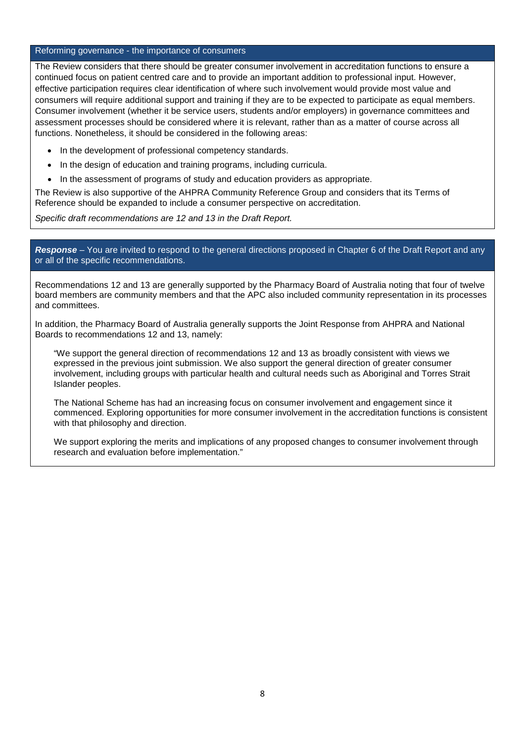#### Reforming governance - the importance of consumers

The Review considers that there should be greater consumer involvement in accreditation functions to ensure a continued focus on patient centred care and to provide an important addition to professional input. However, effective participation requires clear identification of where such involvement would provide most value and consumers will require additional support and training if they are to be expected to participate as equal members. Consumer involvement (whether it be service users, students and/or employers) in governance committees and assessment processes should be considered where it is relevant, rather than as a matter of course across all functions. Nonetheless, it should be considered in the following areas:

- In the development of professional competency standards.
- In the design of education and training programs, including curricula.
- In the assessment of programs of study and education providers as appropriate.

The Review is also supportive of the AHPRA Community Reference Group and considers that its Terms of Reference should be expanded to include a consumer perspective on accreditation.

*Specific draft recommendations are 12 and 13 in the Draft Report.*

*Response –* You are invited to respond to the general directions proposed in Chapter 6 of the Draft Report and any or all of the specific recommendations.

Recommendations 12 and 13 are generally supported by the Pharmacy Board of Australia noting that four of twelve board members are community members and that the APC also included community representation in its processes and committees.

In addition, the Pharmacy Board of Australia generally supports the Joint Response from AHPRA and National Boards to recommendations 12 and 13, namely:

"We support the general direction of recommendations 12 and 13 as broadly consistent with views we expressed in the previous joint submission. We also support the general direction of greater consumer involvement, including groups with particular health and cultural needs such as Aboriginal and Torres Strait Islander peoples.

The National Scheme has had an increasing focus on consumer involvement and engagement since it commenced. Exploring opportunities for more consumer involvement in the accreditation functions is consistent with that philosophy and direction.

We support exploring the merits and implications of any proposed changes to consumer involvement through research and evaluation before implementation."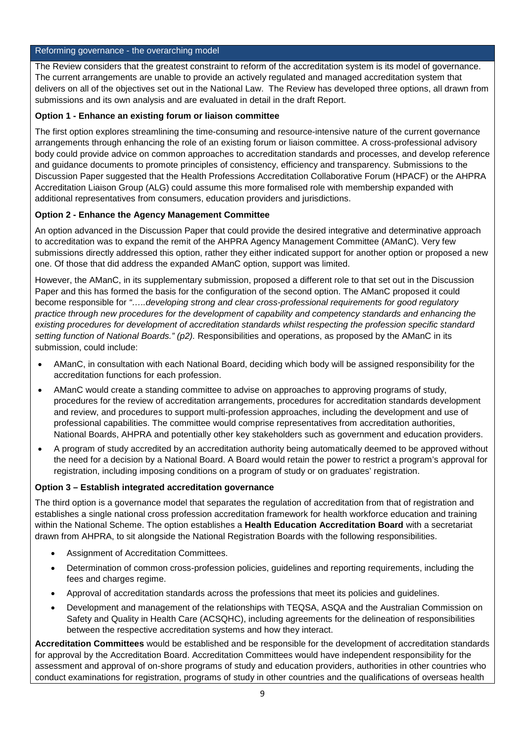#### Reforming governance - the overarching model

The Review considers that the greatest constraint to reform of the accreditation system is its model of governance. The current arrangements are unable to provide an actively regulated and managed accreditation system that delivers on all of the objectives set out in the National Law. The Review has developed three options, all drawn from submissions and its own analysis and are evaluated in detail in the draft Report.

# **Option 1 - Enhance an existing forum or liaison committee**

The first option explores streamlining the time-consuming and resource-intensive nature of the current governance arrangements through enhancing the role of an existing forum or liaison committee. A cross-professional advisory body could provide advice on common approaches to accreditation standards and processes, and develop reference and guidance documents to promote principles of consistency, efficiency and transparency. Submissions to the Discussion Paper suggested that the Health Professions Accreditation Collaborative Forum (HPACF) or the AHPRA Accreditation Liaison Group (ALG) could assume this more formalised role with membership expanded with additional representatives from consumers, education providers and jurisdictions.

# **Option 2 - Enhance the Agency Management Committee**

An option advanced in the Discussion Paper that could provide the desired integrative and determinative approach to accreditation was to expand the remit of the AHPRA Agency Management Committee (AManC). Very few submissions directly addressed this option, rather they either indicated support for another option or proposed a new one. Of those that did address the expanded AManC option, support was limited.

However, the AManC, in its supplementary submission, proposed a different role to that set out in the Discussion Paper and this has formed the basis for the configuration of the second option. The AManC proposed it could become responsible for *"…..developing strong and clear cross-professional requirements for good regulatory practice through new procedures for the development of capability and competency standards and enhancing the existing procedures for development of accreditation standards whilst respecting the profession specific standard setting function of National Boards." (p2).* Responsibilities and operations, as proposed by the AManC in its submission, could include:

- AManC, in consultation with each National Board, deciding which body will be assigned responsibility for the accreditation functions for each profession.
- AManC would create a standing committee to advise on approaches to approving programs of study, procedures for the review of accreditation arrangements, procedures for accreditation standards development and review, and procedures to support multi-profession approaches, including the development and use of professional capabilities. The committee would comprise representatives from accreditation authorities, National Boards, AHPRA and potentially other key stakeholders such as government and education providers.
- A program of study accredited by an accreditation authority being automatically deemed to be approved without the need for a decision by a National Board. A Board would retain the power to restrict a program's approval for registration, including imposing conditions on a program of study or on graduates' registration.

### **Option 3 – Establish integrated accreditation governance**

The third option is a governance model that separates the regulation of accreditation from that of registration and establishes a single national cross profession accreditation framework for health workforce education and training within the National Scheme. The option establishes a **Health Education Accreditation Board** with a secretariat drawn from AHPRA, to sit alongside the National Registration Boards with the following responsibilities.

- Assignment of Accreditation Committees.
- Determination of common cross-profession policies, guidelines and reporting requirements, including the fees and charges regime.
- Approval of accreditation standards across the professions that meet its policies and guidelines.
- Development and management of the relationships with TEQSA, ASQA and the Australian Commission on Safety and Quality in Health Care (ACSQHC), including agreements for the delineation of responsibilities between the respective accreditation systems and how they interact.

**Accreditation Committees** would be established and be responsible for the development of accreditation standards for approval by the Accreditation Board. Accreditation Committees would have independent responsibility for the assessment and approval of on-shore programs of study and education providers, authorities in other countries who conduct examinations for registration, programs of study in other countries and the qualifications of overseas health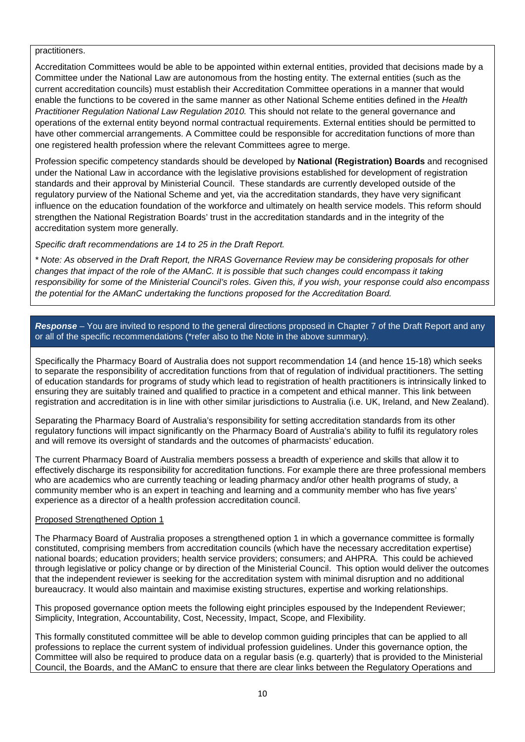#### practitioners.

Accreditation Committees would be able to be appointed within external entities, provided that decisions made by a Committee under the National Law are autonomous from the hosting entity. The external entities (such as the current accreditation councils) must establish their Accreditation Committee operations in a manner that would enable the functions to be covered in the same manner as other National Scheme entities defined in the *Health Practitioner Regulation National Law Regulation 2010.* This should not relate to the general governance and operations of the external entity beyond normal contractual requirements. External entities should be permitted to have other commercial arrangements. A Committee could be responsible for accreditation functions of more than one registered health profession where the relevant Committees agree to merge.

Profession specific competency standards should be developed by **National (Registration) Boards** and recognised under the National Law in accordance with the legislative provisions established for development of registration standards and their approval by Ministerial Council. These standards are currently developed outside of the regulatory purview of the National Scheme and yet, via the accreditation standards, they have very significant influence on the education foundation of the workforce and ultimately on health service models. This reform should strengthen the National Registration Boards' trust in the accreditation standards and in the integrity of the accreditation system more generally.

# *Specific draft recommendations are 14 to 25 in the Draft Report.*

*\* Note: As observed in the Draft Report, the NRAS Governance Review may be considering proposals for other changes that impact of the role of the AManC. It is possible that such changes could encompass it taking responsibility for some of the Ministerial Council's roles. Given this, if you wish, your response could also encompass the potential for the AManC undertaking the functions proposed for the Accreditation Board.* 

# *Response –* You are invited to respond to the general directions proposed in Chapter 7 of the Draft Report and any or all of the specific recommendations (\*refer also to the Note in the above summary).

Specifically the Pharmacy Board of Australia does not support recommendation 14 (and hence 15-18) which seeks to separate the responsibility of accreditation functions from that of regulation of individual practitioners. The setting of education standards for programs of study which lead to registration of health practitioners is intrinsically linked to ensuring they are suitably trained and qualified to practice in a competent and ethical manner. This link between registration and accreditation is in line with other similar jurisdictions to Australia (i.e. UK, Ireland, and New Zealand).

Separating the Pharmacy Board of Australia's responsibility for setting accreditation standards from its other regulatory functions will impact significantly on the Pharmacy Board of Australia's ability to fulfil its regulatory roles and will remove its oversight of standards and the outcomes of pharmacists' education.

The current Pharmacy Board of Australia members possess a breadth of experience and skills that allow it to effectively discharge its responsibility for accreditation functions. For example there are three professional members who are academics who are currently teaching or leading pharmacy and/or other health programs of study, a community member who is an expert in teaching and learning and a community member who has five years' experience as a director of a health profession accreditation council.

#### Proposed Strengthened Option 1

The Pharmacy Board of Australia proposes a strengthened option 1 in which a governance committee is formally constituted, comprising members from accreditation councils (which have the necessary accreditation expertise) national boards; education providers; health service providers; consumers; and AHPRA. This could be achieved through legislative or policy change or by direction of the Ministerial Council. This option would deliver the outcomes that the independent reviewer is seeking for the accreditation system with minimal disruption and no additional bureaucracy. It would also maintain and maximise existing structures, expertise and working relationships.

This proposed governance option meets the following eight principles espoused by the Independent Reviewer; Simplicity, Integration, Accountability, Cost, Necessity, Impact, Scope, and Flexibility.

This formally constituted committee will be able to develop common guiding principles that can be applied to all professions to replace the current system of individual profession guidelines. Under this governance option, the Committee will also be required to produce data on a regular basis (e.g. quarterly) that is provided to the Ministerial Council, the Boards, and the AManC to ensure that there are clear links between the Regulatory Operations and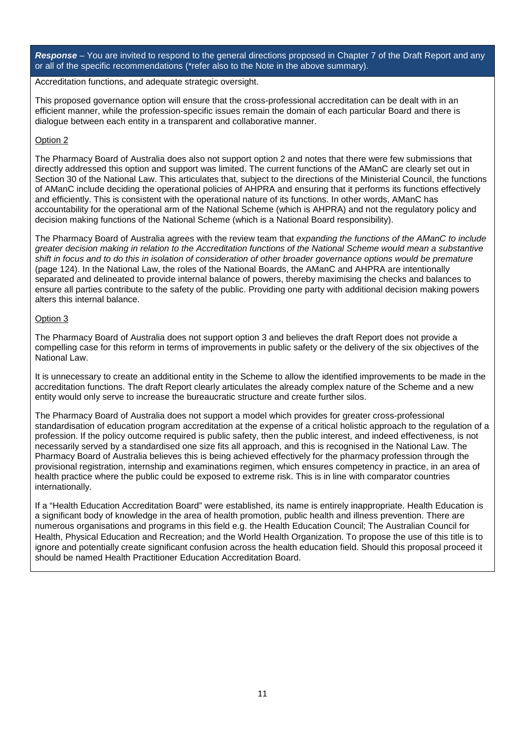*Response –* You are invited to respond to the general directions proposed in Chapter 7 of the Draft Report and any or all of the specific recommendations (\*refer also to the Note in the above summary).

Accreditation functions, and adequate strategic oversight.

This proposed governance option will ensure that the cross-professional accreditation can be dealt with in an efficient manner, while the profession-specific issues remain the domain of each particular Board and there is dialogue between each entity in a transparent and collaborative manner.

### Option 2

The Pharmacy Board of Australia does also not support option 2 and notes that there were few submissions that directly addressed this option and support was limited. The current functions of the AManC are clearly set out in Section 30 of the National Law. This articulates that, subject to the directions of the Ministerial Council, the functions of AManC include deciding the operational policies of AHPRA and ensuring that it performs its functions effectively and efficiently. This is consistent with the operational nature of its functions. In other words, AManC has accountability for the operational arm of the National Scheme (which is AHPRA) and not the regulatory policy and decision making functions of the National Scheme (which is a National Board responsibility).

The Pharmacy Board of Australia agrees with the review team that *expanding the functions of the AManC to include greater decision making in relation to the Accreditation functions of the National Scheme would mean a substantive shift in focus and to do this in isolation of consideration of other broader governance options would be premature* (page 124). In the National Law, the roles of the National Boards, the AManC and AHPRA are intentionally separated and delineated to provide internal balance of powers, thereby maximising the checks and balances to ensure all parties contribute to the safety of the public. Providing one party with additional decision making powers alters this internal balance.

# Option 3

The Pharmacy Board of Australia does not support option 3 and believes the draft Report does not provide a compelling case for this reform in terms of improvements in public safety or the delivery of the six objectives of the National Law.

It is unnecessary to create an additional entity in the Scheme to allow the identified improvements to be made in the accreditation functions. The draft Report clearly articulates the already complex nature of the Scheme and a new entity would only serve to increase the bureaucratic structure and create further silos.

The Pharmacy Board of Australia does not support a model which provides for greater cross-professional standardisation of education program accreditation at the expense of a critical holistic approach to the regulation of a profession. If the policy outcome required is public safety, then the public interest, and indeed effectiveness, is not necessarily served by a standardised one size fits all approach, and this is recognised in the National Law. The Pharmacy Board of Australia believes this is being achieved effectively for the pharmacy profession through the provisional registration, internship and examinations regimen, which ensures competency in practice, in an area of health practice where the public could be exposed to extreme risk. This is in line with comparator countries internationally.

If a "Health Education Accreditation Board" were established, its name is entirely inappropriate. Health Education is a significant body of knowledge in the area of health promotion, public health and illness prevention. There are numerous organisations and programs in this field e.g. the Health Education Council; The Australian Council for Health, Physical Education and Recreation; and the World Health Organization. To propose the use of this title is to ignore and potentially create significant confusion across the health education field. Should this proposal proceed it should be named Health Practitioner Education Accreditation Board.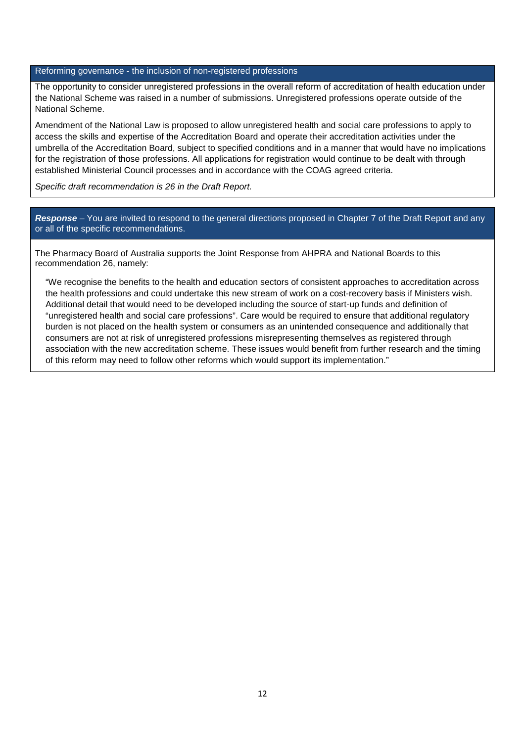#### Reforming governance - the inclusion of non-registered professions

The opportunity to consider unregistered professions in the overall reform of accreditation of health education under the National Scheme was raised in a number of submissions. Unregistered professions operate outside of the National Scheme.

Amendment of the National Law is proposed to allow unregistered health and social care professions to apply to access the skills and expertise of the Accreditation Board and operate their accreditation activities under the umbrella of the Accreditation Board, subject to specified conditions and in a manner that would have no implications for the registration of those professions. All applications for registration would continue to be dealt with through established Ministerial Council processes and in accordance with the COAG agreed criteria.

*Specific draft recommendation is 26 in the Draft Report.*

*Response –* You are invited to respond to the general directions proposed in Chapter 7 of the Draft Report and any or all of the specific recommendations.

The Pharmacy Board of Australia supports the Joint Response from AHPRA and National Boards to this recommendation 26, namely:

"We recognise the benefits to the health and education sectors of consistent approaches to accreditation across the health professions and could undertake this new stream of work on a cost-recovery basis if Ministers wish. Additional detail that would need to be developed including the source of start-up funds and definition of "unregistered health and social care professions". Care would be required to ensure that additional regulatory burden is not placed on the health system or consumers as an unintended consequence and additionally that consumers are not at risk of unregistered professions misrepresenting themselves as registered through association with the new accreditation scheme. These issues would benefit from further research and the timing of this reform may need to follow other reforms which would support its implementation."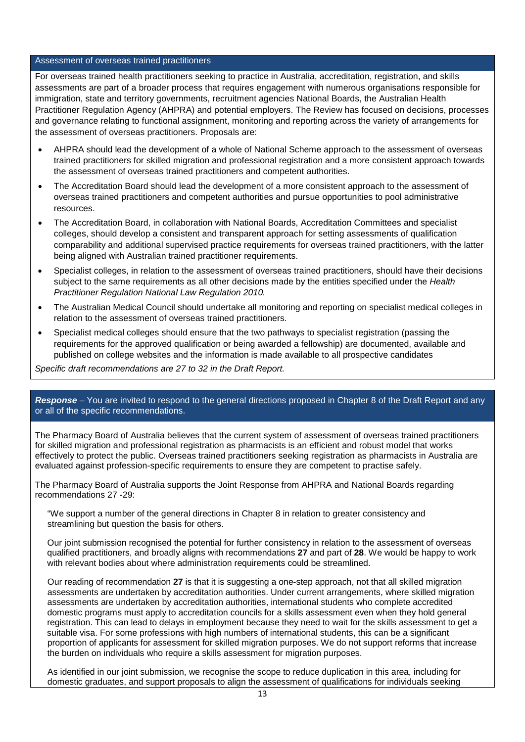#### Assessment of overseas trained practitioners

For overseas trained health practitioners seeking to practice in Australia, accreditation, registration, and skills assessments are part of a broader process that requires engagement with numerous organisations responsible for immigration, state and territory governments, recruitment agencies National Boards, the Australian Health Practitioner Regulation Agency (AHPRA) and potential employers. The Review has focused on decisions, processes and governance relating to functional assignment, monitoring and reporting across the variety of arrangements for the assessment of overseas practitioners. Proposals are:

- AHPRA should lead the development of a whole of National Scheme approach to the assessment of overseas trained practitioners for skilled migration and professional registration and a more consistent approach towards the assessment of overseas trained practitioners and competent authorities.
- The Accreditation Board should lead the development of a more consistent approach to the assessment of overseas trained practitioners and competent authorities and pursue opportunities to pool administrative resources.
- The Accreditation Board, in collaboration with National Boards, Accreditation Committees and specialist colleges, should develop a consistent and transparent approach for setting assessments of qualification comparability and additional supervised practice requirements for overseas trained practitioners, with the latter being aligned with Australian trained practitioner requirements.
- Specialist colleges, in relation to the assessment of overseas trained practitioners, should have their decisions subject to the same requirements as all other decisions made by the entities specified under the *Health Practitioner Regulation National Law Regulation 2010.*
- The Australian Medical Council should undertake all monitoring and reporting on specialist medical colleges in relation to the assessment of overseas trained practitioners.
- Specialist medical colleges should ensure that the two pathways to specialist registration (passing the requirements for the approved qualification or being awarded a fellowship) are documented, available and published on college websites and the information is made available to all prospective candidates

*Specific draft recommendations are 27 to 32 in the Draft Report.*

#### *Response –* You are invited to respond to the general directions proposed in Chapter 8 of the Draft Report and any or all of the specific recommendations.

The Pharmacy Board of Australia believes that the current system of assessment of overseas trained practitioners for skilled migration and professional registration as pharmacists is an efficient and robust model that works effectively to protect the public. Overseas trained practitioners seeking registration as pharmacists in Australia are evaluated against profession-specific requirements to ensure they are competent to practise safely.

The Pharmacy Board of Australia supports the Joint Response from AHPRA and National Boards regarding recommendations 27 -29:

"We support a number of the general directions in Chapter 8 in relation to greater consistency and streamlining but question the basis for others.

Our joint submission recognised the potential for further consistency in relation to the assessment of overseas qualified practitioners, and broadly aligns with recommendations **27** and part of **28**. We would be happy to work with relevant bodies about where administration requirements could be streamlined.

Our reading of recommendation **27** is that it is suggesting a one-step approach, not that all skilled migration assessments are undertaken by accreditation authorities. Under current arrangements, where skilled migration assessments are undertaken by accreditation authorities, international students who complete accredited domestic programs must apply to accreditation councils for a skills assessment even when they hold general registration. This can lead to delays in employment because they need to wait for the skills assessment to get a suitable visa. For some professions with high numbers of international students, this can be a significant proportion of applicants for assessment for skilled migration purposes. We do not support reforms that increase the burden on individuals who require a skills assessment for migration purposes.

As identified in our joint submission, we recognise the scope to reduce duplication in this area, including for domestic graduates, and support proposals to align the assessment of qualifications for individuals seeking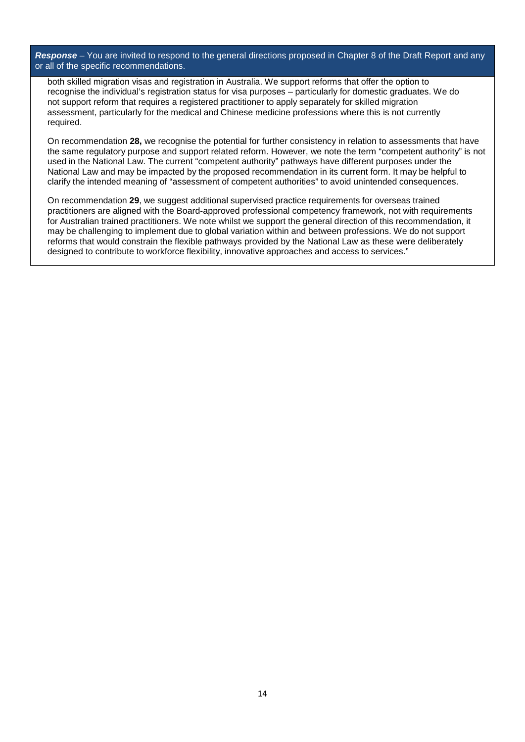*Response –* You are invited to respond to the general directions proposed in Chapter 8 of the Draft Report and any or all of the specific recommendations.

both skilled migration visas and registration in Australia. We support reforms that offer the option to recognise the individual's registration status for visa purposes – particularly for domestic graduates. We do not support reform that requires a registered practitioner to apply separately for skilled migration assessment, particularly for the medical and Chinese medicine professions where this is not currently required.

On recommendation 28, we recognise the potential for further consistency in relation to assessments that have the same regulatory purpose and support related reform. However, we note the term "competent authority" is not used in the National Law. The current "competent authority" pathways have different purposes under the National Law and may be impacted by the proposed recommendation in its current form. It may be helpful to clarify the intended meaning of "assessment of competent authorities" to avoid unintended consequences.

On recommendation **29**, we suggest additional supervised practice requirements for overseas trained practitioners are aligned with the Board-approved professional competency framework, not with requirements for Australian trained practitioners. We note whilst we support the general direction of this recommendation, it may be challenging to implement due to global variation within and between professions. We do not support reforms that would constrain the flexible pathways provided by the National Law as these were deliberately designed to contribute to workforce flexibility, innovative approaches and access to services."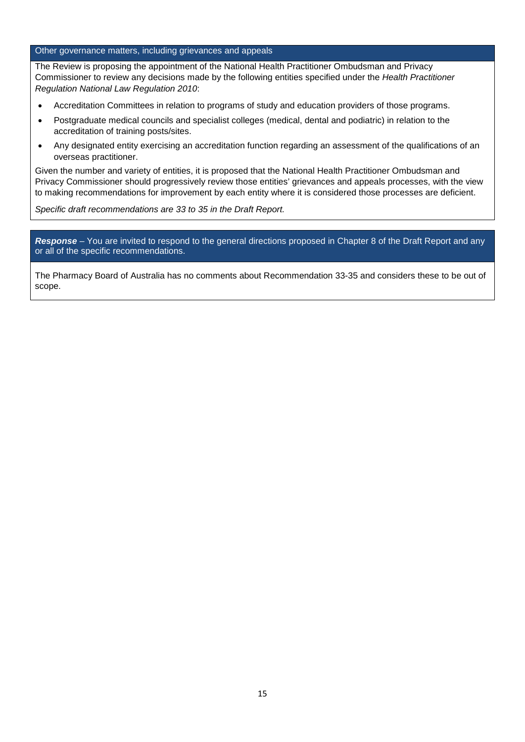#### Other governance matters, including grievances and appeals

The Review is proposing the appointment of the National Health Practitioner Ombudsman and Privacy Commissioner to review any decisions made by the following entities specified under the *Health Practitioner Regulation National Law Regulation 2010*:

- Accreditation Committees in relation to programs of study and education providers of those programs.
- Postgraduate medical councils and specialist colleges (medical, dental and podiatric) in relation to the accreditation of training posts/sites.
- Any designated entity exercising an accreditation function regarding an assessment of the qualifications of an overseas practitioner.

Given the number and variety of entities, it is proposed that the National Health Practitioner Ombudsman and Privacy Commissioner should progressively review those entities' grievances and appeals processes, with the view to making recommendations for improvement by each entity where it is considered those processes are deficient.

*Specific draft recommendations are 33 to 35 in the Draft Report.*

*Response –* You are invited to respond to the general directions proposed in Chapter 8 of the Draft Report and any or all of the specific recommendations.

The Pharmacy Board of Australia has no comments about Recommendation 33-35 and considers these to be out of scope.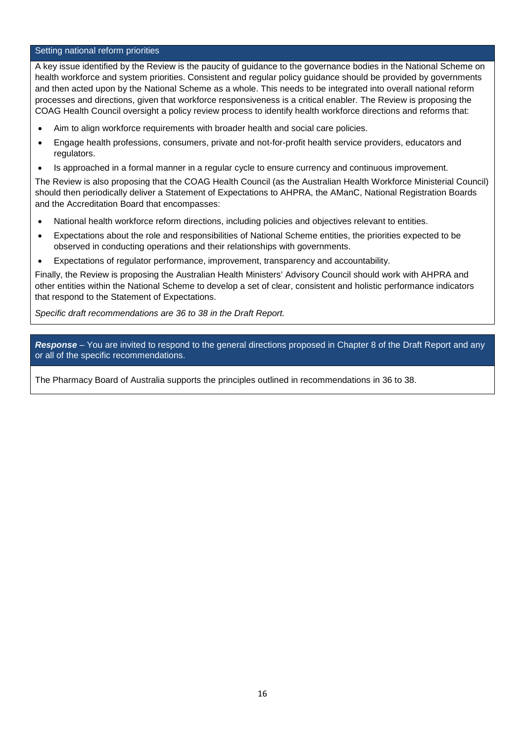#### Setting national reform priorities

A key issue identified by the Review is the paucity of guidance to the governance bodies in the National Scheme on health workforce and system priorities. Consistent and regular policy guidance should be provided by governments and then acted upon by the National Scheme as a whole. This needs to be integrated into overall national reform processes and directions, given that workforce responsiveness is a critical enabler. The Review is proposing the COAG Health Council oversight a policy review process to identify health workforce directions and reforms that:

- Aim to align workforce requirements with broader health and social care policies.
- Engage health professions, consumers, private and not-for-profit health service providers, educators and regulators.
- Is approached in a formal manner in a regular cycle to ensure currency and continuous improvement.

The Review is also proposing that the COAG Health Council (as the Australian Health Workforce Ministerial Council) should then periodically deliver a Statement of Expectations to AHPRA, the AManC, National Registration Boards and the Accreditation Board that encompasses:

- National health workforce reform directions, including policies and objectives relevant to entities.
- Expectations about the role and responsibilities of National Scheme entities, the priorities expected to be observed in conducting operations and their relationships with governments.
- Expectations of regulator performance, improvement, transparency and accountability.

Finally, the Review is proposing the Australian Health Ministers' Advisory Council should work with AHPRA and other entities within the National Scheme to develop a set of clear, consistent and holistic performance indicators that respond to the Statement of Expectations.

*Specific draft recommendations are 36 to 38 in the Draft Report.*

*Response –* You are invited to respond to the general directions proposed in Chapter 8 of the Draft Report and any or all of the specific recommendations.

The Pharmacy Board of Australia supports the principles outlined in recommendations in 36 to 38.